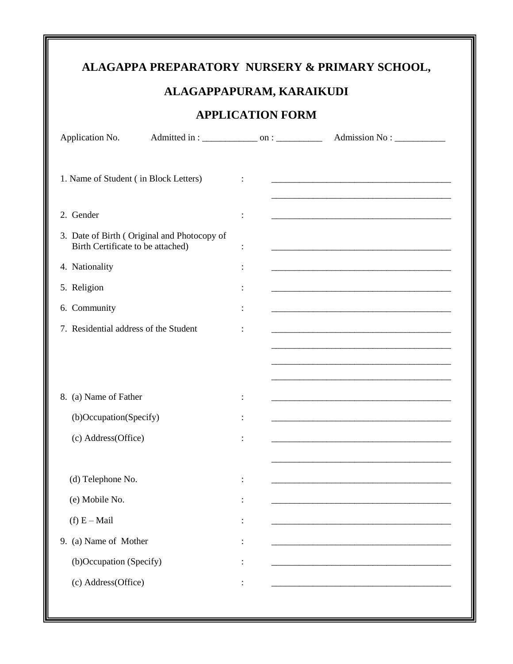## ALAGAPPA PREPARATORY NURSERY & PRIMARY SCHOOL,

## ALAGAPPAPURAM, KARAIKUDI

## **APPLICATION FORM**

| Application No.                                                                  |                |                                                                                                                      |
|----------------------------------------------------------------------------------|----------------|----------------------------------------------------------------------------------------------------------------------|
| 1. Name of Student (in Block Letters)                                            | $\ddot{\cdot}$ |                                                                                                                      |
| 2. Gender                                                                        | :              |                                                                                                                      |
| 3. Date of Birth (Original and Photocopy of<br>Birth Certificate to be attached) | $\ddot{\cdot}$ |                                                                                                                      |
| 4. Nationality                                                                   | $\ddot{\cdot}$ |                                                                                                                      |
| 5. Religion                                                                      | $\ddot{\cdot}$ |                                                                                                                      |
| 6. Community                                                                     | ÷              |                                                                                                                      |
| 7. Residential address of the Student                                            | :              | <u> 1989 - Johann Barbara, margaret eta biztanleria (h. 1989).</u>                                                   |
|                                                                                  |                |                                                                                                                      |
|                                                                                  |                |                                                                                                                      |
| 8. (a) Name of Father                                                            | :              | <u> 1989 - Jan James James James James James James James James James James James James James James James James J</u> |
| (b)Occupation(Specify)                                                           |                |                                                                                                                      |
| (c) Address(Office)                                                              | :              | <u> 1989 - Andrea Stadt Britain, amerikansk politik (* 1908)</u>                                                     |
|                                                                                  |                | <u> 1989 - Johann Barbara, margaret eta idazlearia (h. 1989).</u>                                                    |
| (d) Telephone No.                                                                |                |                                                                                                                      |
| (e) Mobile No.                                                                   |                |                                                                                                                      |
| (f) $E - Mail$                                                                   |                |                                                                                                                      |
| 9. (a) Name of Mother                                                            |                |                                                                                                                      |
| (b)Occupation (Specify)                                                          |                |                                                                                                                      |
| (c) Address(Office)                                                              |                |                                                                                                                      |
|                                                                                  |                |                                                                                                                      |